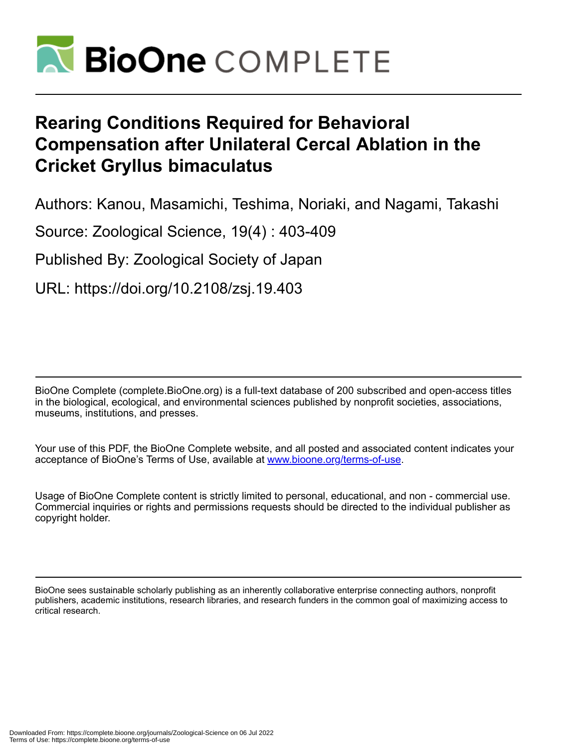

# **Rearing Conditions Required for Behavioral Compensation after Unilateral Cercal Ablation in the Cricket Gryllus bimaculatus**

Authors: Kanou, Masamichi, Teshima, Noriaki, and Nagami, Takashi

Source: Zoological Science, 19(4) : 403-409

Published By: Zoological Society of Japan

URL: https://doi.org/10.2108/zsj.19.403

BioOne Complete (complete.BioOne.org) is a full-text database of 200 subscribed and open-access titles in the biological, ecological, and environmental sciences published by nonprofit societies, associations, museums, institutions, and presses.

Your use of this PDF, the BioOne Complete website, and all posted and associated content indicates your acceptance of BioOne's Terms of Use, available at www.bioone.org/terms-of-use.

Usage of BioOne Complete content is strictly limited to personal, educational, and non - commercial use. Commercial inquiries or rights and permissions requests should be directed to the individual publisher as copyright holder.

BioOne sees sustainable scholarly publishing as an inherently collaborative enterprise connecting authors, nonprofit publishers, academic institutions, research libraries, and research funders in the common goal of maximizing access to critical research.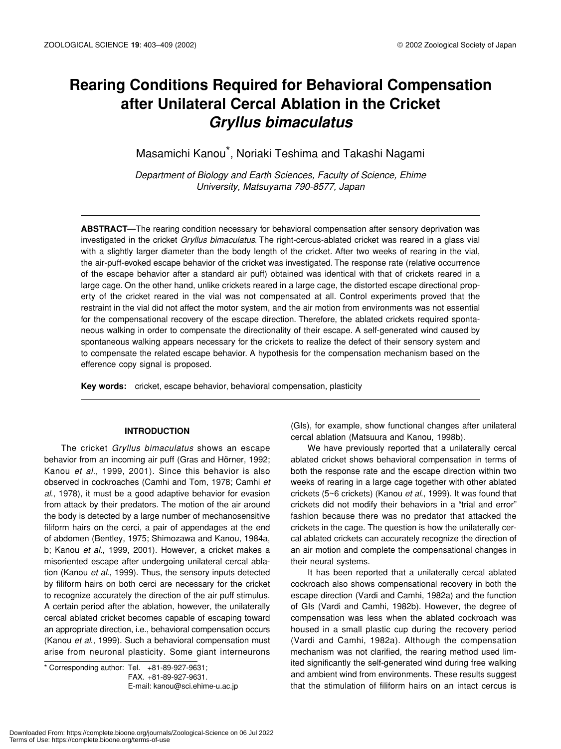# **Rearing Conditions Required for Behavioral Compensation after Unilateral Cercal Ablation in the Cricket**  *Gryllus bimaculatus*

Masamichi Kanou\*, Noriaki Teshima and Takashi Nagami

*Department of Biology and Earth Sciences, Faculty of Science, Ehime University, Matsuyama 790-8577, Japan*

**ABSTRACT**—The rearing condition necessary for behavioral compensation after sensory deprivation was investigated in the cricket *Gryllus bimaculatus*. The right-cercus-ablated cricket was reared in a glass vial with a slightly larger diameter than the body length of the cricket. After two weeks of rearing in the vial, the air-puff-evoked escape behavior of the cricket was investigated. The response rate (relative occurrence of the escape behavior after a standard air puff) obtained was identical with that of crickets reared in a large cage. On the other hand, unlike crickets reared in a large cage, the distorted escape directional property of the cricket reared in the vial was not compensated at all. Control experiments proved that the restraint in the vial did not affect the motor system, and the air motion from environments was not essential for the compensational recovery of the escape direction. Therefore, the ablated crickets required spontaneous walking in order to compensate the directionality of their escape. A self-generated wind caused by spontaneous walking appears necessary for the crickets to realize the defect of their sensory system and to compensate the related escape behavior. A hypothesis for the compensation mechanism based on the efference copy signal is proposed.

**Key words:** cricket, escape behavior, behavioral compensation, plasticity

# **INTRODUCTION**

The cricket *Gryllus bimaculatus* shows an escape behavior from an incoming air puff (Gras and Hörner, 1992; Kanou *et al*., 1999, 2001). Since this behavior is also observed in cockroaches (Camhi and Tom, 1978; Camhi *et al*., 1978), it must be a good adaptive behavior for evasion from attack by their predators. The motion of the air around the body is detected by a large number of mechanosensitive filiform hairs on the cerci, a pair of appendages at the end of abdomen (Bentley, 1975; Shimozawa and Kanou, 1984a, b; Kanou *et al*., 1999, 2001). However, a cricket makes a misoriented escape after undergoing unilateral cercal ablation (Kanou *et al*., 1999). Thus, the sensory inputs detected by filiform hairs on both cerci are necessary for the cricket to recognize accurately the direction of the air puff stimulus. A certain period after the ablation, however, the unilaterally cercal ablated cricket becomes capable of escaping toward an appropriate direction, i.e., behavioral compensation occurs (Kanou *et al*., 1999). Such a behavioral compensation must arise from neuronal plasticity. Some giant interneurons

\* Corresponding author: Tel. +81-89-927-9631; FAX. +81-89-927-9631.

E-mail: kanou@sci.ehime-u.ac.jp

(GIs), for example, show functional changes after unilateral cercal ablation (Matsuura and Kanou, 1998b).

We have previously reported that a unilaterally cercal ablated cricket shows behavioral compensation in terms of both the response rate and the escape direction within two weeks of rearing in a large cage together with other ablated crickets (5~6 crickets) (Kanou *et al*., 1999). It was found that crickets did not modify their behaviors in a "trial and error" fashion because there was no predator that attacked the crickets in the cage. The question is how the unilaterally cercal ablated crickets can accurately recognize the direction of an air motion and complete the compensational changes in their neural systems.

It has been reported that a unilaterally cercal ablated cockroach also shows compensational recovery in both the escape direction (Vardi and Camhi, 1982a) and the function of GIs (Vardi and Camhi, 1982b). However, the degree of compensation was less when the ablated cockroach was housed in a small plastic cup during the recovery period (Vardi and Camhi, 1982a). Although the compensation mechanism was not clarified, the rearing method used limited significantly the self-generated wind during free walking and ambient wind from environments. These results suggest that the stimulation of filiform hairs on an intact cercus is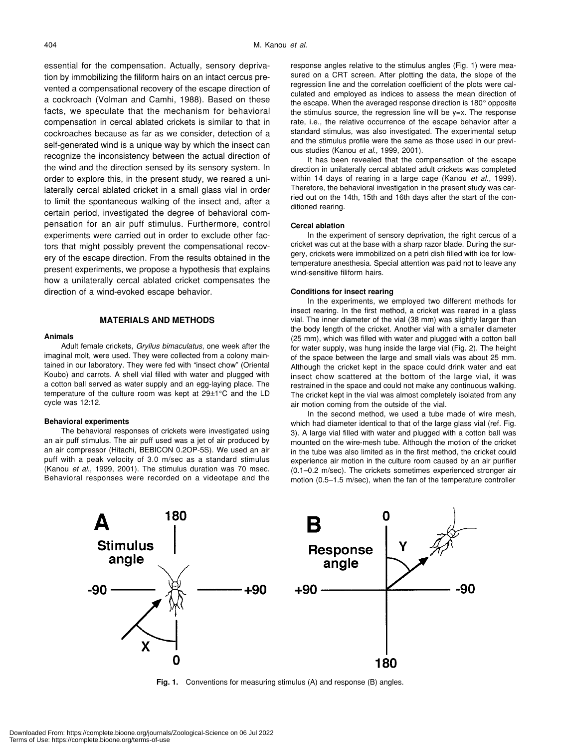essential for the compensation. Actually, sensory deprivation by immobilizing the filiform hairs on an intact cercus prevented a compensational recovery of the escape direction of a cockroach (Volman and Camhi, 1988). Based on these facts, we speculate that the mechanism for behavioral compensation in cercal ablated crickets is similar to that in cockroaches because as far as we consider, detection of a self-generated wind is a unique way by which the insect can recognize the inconsistency between the actual direction of the wind and the direction sensed by its sensory system. In order to explore this, in the present study, we reared a unilaterally cercal ablated cricket in a small glass vial in order to limit the spontaneous walking of the insect and, after a certain period, investigated the degree of behavioral compensation for an air puff stimulus. Furthermore, control experiments were carried out in order to exclude other factors that might possibly prevent the compensational recovery of the escape direction. From the results obtained in the present experiments, we propose a hypothesis that explains how a unilaterally cercal ablated cricket compensates the direction of a wind-evoked escape behavior.

# **MATERIALS AND METHODS**

#### **Animals**

Adult female crickets, *Gryllus bimaculatus*, one week after the imaginal molt, were used. They were collected from a colony maintained in our laboratory. They were fed with "insect chow" (Oriental Koubo) and carrots. A shell vial filled with water and plugged with a cotton ball served as water supply and an egg-laying place. The temperature of the culture room was kept at 29±1°C and the LD cycle was 12:12.

#### **Behavioral experiments**

The behavioral responses of crickets were investigated using an air puff stimulus. The air puff used was a jet of air produced by an air compressor (Hitachi, BEBICON 0.2OP-5S). We used an air puff with a peak velocity of 3.0 m/sec as a standard stimulus (Kanou *et al*., 1999, 2001). The stimulus duration was 70 msec. Behavioral responses were recorded on a videotape and the response angles relative to the stimulus angles (Fig. 1) were measured on a CRT screen. After plotting the data, the slope of the regression line and the correlation coefficient of the plots were calculated and employed as indices to assess the mean direction of the escape. When the averaged response direction is 180° opposite the stimulus source, the regression line will be  $y=x$ . The response rate, i.e., the relative occurrence of the escape behavior after a standard stimulus, was also investigated. The experimental setup and the stimulus profile were the same as those used in our previous studies (Kanou *et al*., 1999, 2001).

It has been revealed that the compensation of the escape direction in unilaterally cercal ablated adult crickets was completed within 14 days of rearing in a large cage (Kanou *et al*., 1999). Therefore, the behavioral investigation in the present study was carried out on the 14th, 15th and 16th days after the start of the conditioned rearing.

#### **Cercal ablation**

In the experiment of sensory deprivation, the right cercus of a cricket was cut at the base with a sharp razor blade. During the surgery, crickets were immobilized on a petri dish filled with ice for lowtemperature anesthesia. Special attention was paid not to leave any wind-sensitive filiform hairs.

#### **Conditions for insect rearing**

In the experiments, we employed two different methods for insect rearing. In the first method, a cricket was reared in a glass vial. The inner diameter of the vial (38 mm) was slightly larger than the body length of the cricket. Another vial with a smaller diameter (25 mm), which was filled with water and plugged with a cotton ball for water supply, was hung inside the large vial (Fig. 2). The height of the space between the large and small vials was about 25 mm. Although the cricket kept in the space could drink water and eat insect chow scattered at the bottom of the large vial, it was restrained in the space and could not make any continuous walking. The cricket kept in the vial was almost completely isolated from any air motion coming from the outside of the vial.

In the second method, we used a tube made of wire mesh, which had diameter identical to that of the large glass vial (ref. Fig. 3). A large vial filled with water and plugged with a cotton ball was mounted on the wire-mesh tube. Although the motion of the cricket in the tube was also limited as in the first method, the cricket could experience air motion in the culture room caused by an air purifier (0.1–0.2 m/sec). The crickets sometimes experienced stronger air motion (0.5–1.5 m/sec), when the fan of the temperature controller



**Fig. 1.** Conventions for measuring stimulus (A) and response (B) angles.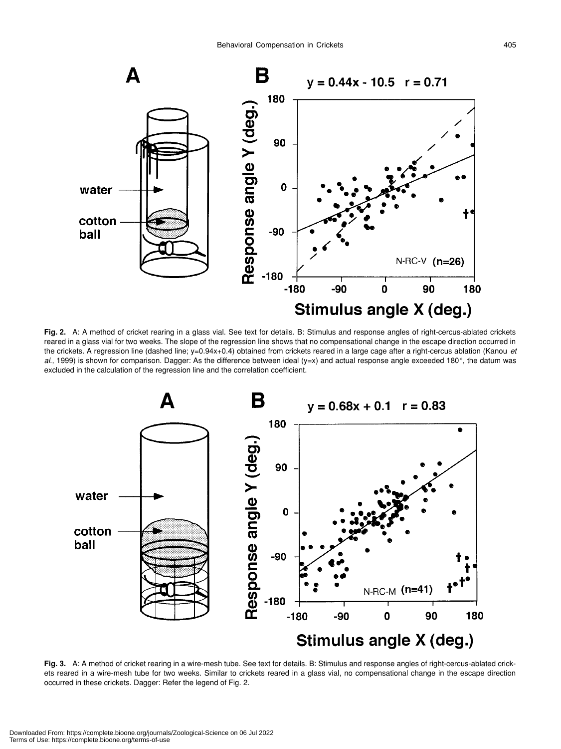

**Fig. 2.** A: A method of cricket rearing in a glass vial. See text for details. B: Stimulus and response angles of right-cercus-ablated crickets reared in a glass vial for two weeks. The slope of the regression line shows that no compensational change in the escape direction occurred in the crickets. A regression line (dashed line; y=0.94x+0.4) obtained from crickets reared in a large cage after a right-cercus ablation (Kanou *et al*., 1999) is shown for comparison. Dagger: As the difference between ideal (y=x) and actual response angle exceeded 180°, the datum was excluded in the calculation of the regression line and the correlation coefficient.



**Fig. 3.** A: A method of cricket rearing in a wire-mesh tube. See text for details. B: Stimulus and response angles of right-cercus-ablated crickets reared in a wire-mesh tube for two weeks. Similar to crickets reared in a glass vial, no compensational change in the escape direction occurred in these crickets. Dagger: Refer the legend of Fig. 2.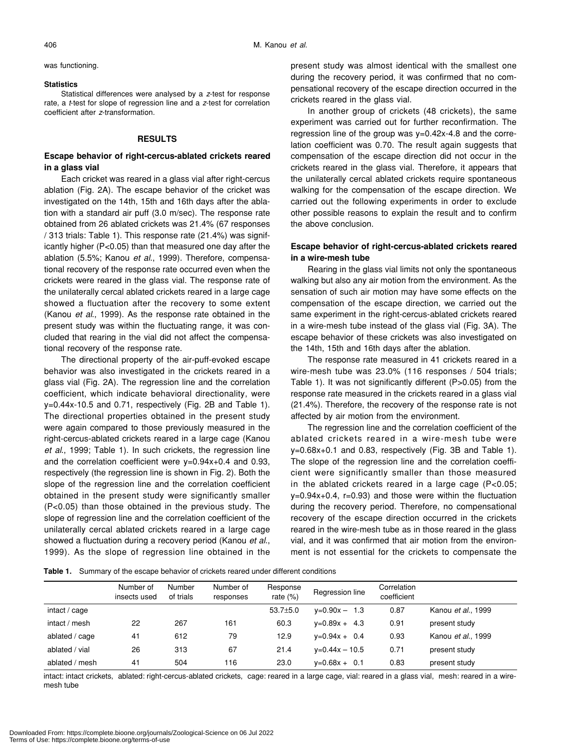#### **Statistics**

Statistical differences were analysed by a *z*-test for response rate, a *t*-test for slope of regression line and a *z*-test for correlation coefficient after *z*-transformation.

# **RESULTS**

# **Escape behavior of right-cercus-ablated crickets reared in a glass vial**

Each cricket was reared in a glass vial after right-cercus ablation (Fig. 2A). The escape behavior of the cricket was investigated on the 14th, 15th and 16th days after the ablation with a standard air puff (3.0 m/sec). The response rate obtained from 26 ablated crickets was 21.4% (67 responses / 313 trials: Table 1). This response rate (21.4%) was significantly higher (P<0.05) than that measured one day after the ablation (5.5%; Kanou *et al*., 1999). Therefore, compensational recovery of the response rate occurred even when the crickets were reared in the glass vial. The response rate of the unilaterally cercal ablated crickets reared in a large cage showed a fluctuation after the recovery to some extent (Kanou *et al*., 1999). As the response rate obtained in the present study was within the fluctuating range, it was concluded that rearing in the vial did not affect the compensational recovery of the response rate.

The directional property of the air-puff-evoked escape behavior was also investigated in the crickets reared in a glass vial (Fig. 2A). The regression line and the correlation coefficient, which indicate behavioral directionality, were y=0.44x-10.5 and 0.71, respectively (Fig. 2B and Table 1). The directional properties obtained in the present study were again compared to those previously measured in the right-cercus-ablated crickets reared in a large cage (Kanou *et al*., 1999; Table 1). In such crickets, the regression line and the correlation coefficient were  $v=0.94x+0.4$  and 0.93, respectively (the regression line is shown in Fig. 2). Both the slope of the regression line and the correlation coefficient obtained in the present study were significantly smaller (P<0.05) than those obtained in the previous study. The slope of regression line and the correlation coefficient of the unilaterally cercal ablated crickets reared in a large cage showed a fluctuation during a recovery period (Kanou *et al*., 1999). As the slope of regression line obtained in the present study was almost identical with the smallest one during the recovery period, it was confirmed that no compensational recovery of the escape direction occurred in the crickets reared in the glass vial.

In another group of crickets (48 crickets), the same experiment was carried out for further reconfirmation. The regression line of the group was y=0.42x-4.8 and the correlation coefficient was 0.70. The result again suggests that compensation of the escape direction did not occur in the crickets reared in the glass vial. Therefore, it appears that the unilaterally cercal ablated crickets require spontaneous walking for the compensation of the escape direction. We carried out the following experiments in order to exclude other possible reasons to explain the result and to confirm the above conclusion.

# **Escape behavior of right-cercus-ablated crickets reared in a wire-mesh tube**

Rearing in the glass vial limits not only the spontaneous walking but also any air motion from the environment. As the sensation of such air motion may have some effects on the compensation of the escape direction, we carried out the same experiment in the right-cercus-ablated crickets reared in a wire-mesh tube instead of the glass vial (Fig. 3A). The escape behavior of these crickets was also investigated on the 14th, 15th and 16th days after the ablation.

The response rate measured in 41 crickets reared in a wire-mesh tube was 23.0% (116 responses / 504 trials; Table 1). It was not significantly different (P>0.05) from the response rate measured in the crickets reared in a glass vial (21.4%). Therefore, the recovery of the response rate is not affected by air motion from the environment.

The regression line and the correlation coefficient of the ablated crickets reared in a wire-mesh tube were y=0.68x+0.1 and 0.83, respectively (Fig. 3B and Table 1). The slope of the regression line and the correlation coefficient were significantly smaller than those measured in the ablated crickets reared in a large cage (P<0.05;  $y=0.94x+0.4$ ,  $r=0.93$ ) and those were within the fluctuation during the recovery period. Therefore, no compensational recovery of the escape direction occurred in the crickets reared in the wire-mesh tube as in those reared in the glass vial, and it was confirmed that air motion from the environment is not essential for the crickets to compensate the

**Table 1.** Summary of the escape behavior of crickets reared under different conditions

|                | Number of<br>insects used | Number<br>of trials | Number of<br>responses | Response<br>rate $(%)$ | Regression line      | Correlation<br>coefficient |                    |
|----------------|---------------------------|---------------------|------------------------|------------------------|----------------------|----------------------------|--------------------|
| intact / cage  |                           |                     |                        | $53.7{\pm}5.0$         | $y=0.90x - 1.3$      | 0.87                       | Kanou et al., 1999 |
| intact / mesh  | 22                        | 267                 | 161                    | 60.3                   | $v=0.89x + 4.3$      | 0.91                       | present study      |
| ablated / cage | 41                        | 612                 | 79                     | 12.9                   | $v=0.94x + 0.4$      | 0.93                       | Kanou et al., 1999 |
| ablated / vial | 26                        | 313                 | 67                     | 21.4                   | $v = 0.44x - 10.5$   | 0.71                       | present study      |
| ablated / mesh | 41                        | 504                 | 116                    | 23.0                   | $v = 0.68x +$<br>0.1 | 0.83                       | present study      |

intact: intact crickets, ablated: right-cercus-ablated crickets, cage: reared in a large cage, vial: reared in a glass vial, mesh: reared in a wiremesh tube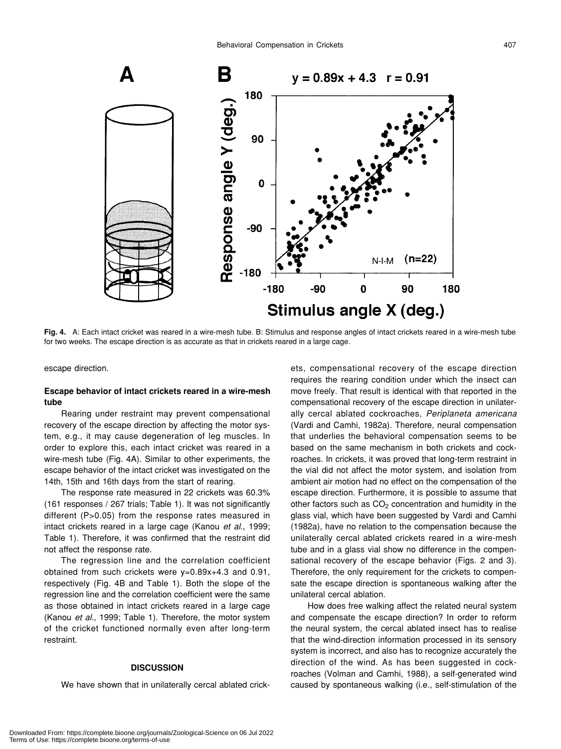

**Fig. 4.** A: Each intact cricket was reared in a wire-mesh tube. B: Stimulus and response angles of intact crickets reared in a wire-mesh tube for two weeks. The escape direction is as accurate as that in crickets reared in a large cage.

escape direction.

# **Escape behavior of intact crickets reared in a wire-mesh tube**

Rearing under restraint may prevent compensational recovery of the escape direction by affecting the motor system, e.g., it may cause degeneration of leg muscles. In order to explore this, each intact cricket was reared in a wire-mesh tube (Fig. 4A). Similar to other experiments, the escape behavior of the intact cricket was investigated on the 14th, 15th and 16th days from the start of rearing.

The response rate measured in 22 crickets was 60.3% (161 responses / 267 trials; Table 1). It was not significantly different (P>0.05) from the response rates measured in intact crickets reared in a large cage (Kanou *et al*., 1999; Table 1). Therefore, it was confirmed that the restraint did not affect the response rate.

The regression line and the correlation coefficient obtained from such crickets were y=0.89x+4.3 and 0.91, respectively (Fig. 4B and Table 1). Both the slope of the regression line and the correlation coefficient were the same as those obtained in intact crickets reared in a large cage (Kanou *et al*., 1999; Table 1). Therefore, the motor system of the cricket functioned normally even after long-term restraint.

# **DISCUSSION**

We have shown that in unilaterally cercal ablated crick-

ets, compensational recovery of the escape direction requires the rearing condition under which the insect can move freely. That result is identical with that reported in the compensational recovery of the escape direction in unilaterally cercal ablated cockroaches, *Periplaneta americana* (Vardi and Camhi, 1982a). Therefore, neural compensation that underlies the behavioral compensation seems to be based on the same mechanism in both crickets and cockroaches. In crickets, it was proved that long-term restraint in the vial did not affect the motor system, and isolation from ambient air motion had no effect on the compensation of the escape direction. Furthermore, it is possible to assume that other factors such as  $CO<sub>2</sub>$  concentration and humidity in the glass vial, which have been suggested by Vardi and Camhi (1982a), have no relation to the compensation because the unilaterally cercal ablated crickets reared in a wire-mesh tube and in a glass vial show no difference in the compensational recovery of the escape behavior (Figs. 2 and 3). Therefore, the only requirement for the crickets to compensate the escape direction is spontaneous walking after the unilateral cercal ablation.

How does free walking affect the related neural system and compensate the escape direction? In order to reform the neural system, the cercal ablated insect has to realise that the wind-direction information processed in its sensory system is incorrect, and also has to recognize accurately the direction of the wind. As has been suggested in cockroaches (Volman and Camhi, 1988), a self-generated wind caused by spontaneous walking (i.e., self-stimulation of the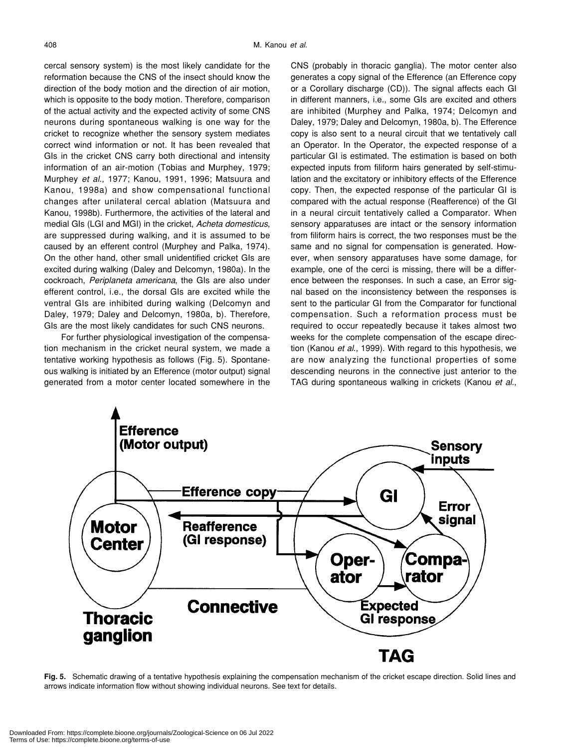cercal sensory system) is the most likely candidate for the reformation because the CNS of the insect should know the direction of the body motion and the direction of air motion, which is opposite to the body motion. Therefore, comparison of the actual activity and the expected activity of some CNS neurons during spontaneous walking is one way for the cricket to recognize whether the sensory system mediates correct wind information or not. It has been revealed that GIs in the cricket CNS carry both directional and intensity information of an air-motion (Tobias and Murphey, 1979; Murphey *et al*., 1977; Kanou, 1991, 1996; Matsuura and Kanou, 1998a) and show compensational functional changes after unilateral cercal ablation (Matsuura and Kanou, 1998b). Furthermore, the activities of the lateral and medial GIs (LGI and MGI) in the cricket, *Acheta domesticus*, are suppressed during walking, and it is assumed to be caused by an efferent control (Murphey and Palka, 1974). On the other hand, other small unidentified cricket GIs are excited during walking (Daley and Delcomyn, 1980a). In the cockroach, *Periplaneta americana*, the GIs are also under efferent control, i.e., the dorsal GIs are excited while the ventral GIs are inhibited during walking (Delcomyn and Daley, 1979; Daley and Delcomyn, 1980a, b). Therefore, GIs are the most likely candidates for such CNS neurons.

For further physiological investigation of the compensation mechanism in the cricket neural system, we made a tentative working hypothesis as follows (Fig. 5). Spontaneous walking is initiated by an Efference (motor output) signal generated from a motor center located somewhere in the CNS (probably in thoracic ganglia). The motor center also generates a copy signal of the Efference (an Efference copy or a Corollary discharge (CD)). The signal affects each GI in different manners, i.e., some GIs are excited and others are inhibited (Murphey and Palka, 1974; Delcomyn and Daley, 1979; Daley and Delcomyn, 1980a, b). The Efference copy is also sent to a neural circuit that we tentatively call an Operator. In the Operator, the expected response of a particular GI is estimated. The estimation is based on both expected inputs from filiform hairs generated by self-stimulation and the excitatory or inhibitory effects of the Efference copy. Then, the expected response of the particular GI is compared with the actual response (Reafference) of the GI in a neural circuit tentatively called a Comparator. When sensory apparatuses are intact or the sensory information from filiform hairs is correct, the two responses must be the same and no signal for compensation is generated. However, when sensory apparatuses have some damage, for example, one of the cerci is missing, there will be a difference between the responses. In such a case, an Error signal based on the inconsistency between the responses is sent to the particular GI from the Comparator for functional compensation. Such a reformation process must be required to occur repeatedly because it takes almost two weeks for the complete compensation of the escape direction (Kanou *et al*., 1999). With regard to this hypothesis, we are now analyzing the functional properties of some descending neurons in the connective just anterior to the TAG during spontaneous walking in crickets (Kanou *et al*.,



**Fig. 5.** Schematic drawing of a tentative hypothesis explaining the compensation mechanism of the cricket escape direction. Solid lines and arrows indicate information flow without showing individual neurons. See text for details.